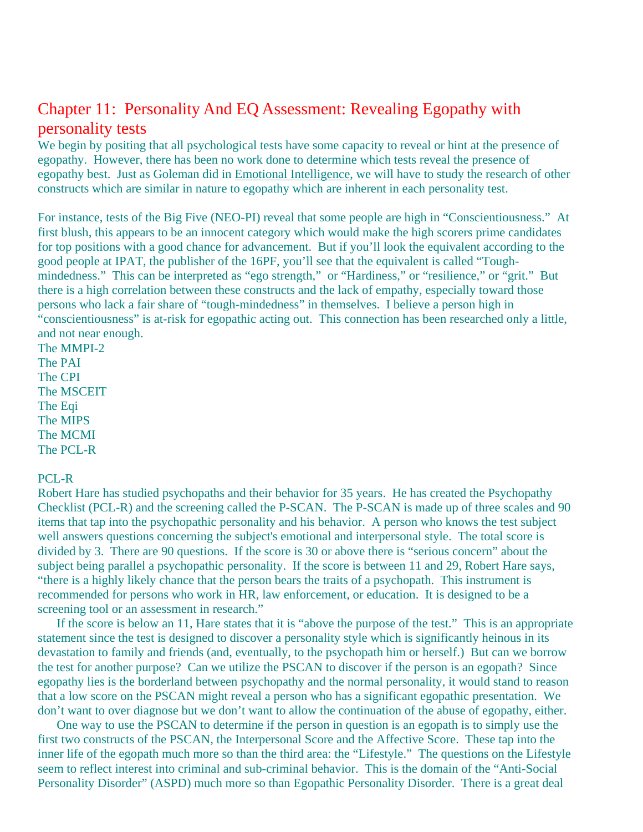# Chapter 11: Personality And EQ Assessment: Revealing Egopathy with personality tests

We begin by positing that all psychological tests have some capacity to reveal or hint at the presence of egopathy. However, there has been no work done to determine which tests reveal the presence of egopathy best. Just as Goleman did in Emotional Intelligence, we will have to study the research of other constructs which are similar in nature to egopathy which are inherent in each personality test.

For instance, tests of the Big Five (NEO-PI) reveal that some people are high in "Conscientiousness." At first blush, this appears to be an innocent category which would make the high scorers prime candidates for top positions with a good chance for advancement. But if you'll look the equivalent according to the good people at IPAT, the publisher of the 16PF, you'll see that the equivalent is called "Toughmindedness." This can be interpreted as "ego strength," or "Hardiness," or "resilience," or "grit." But there is a high correlation between these constructs and the lack of empathy, especially toward those persons who lack a fair share of "tough-mindedness" in themselves. I believe a person high in "conscientiousness" is at-risk for egopathic acting out. This connection has been researched only a little, and not near enough.

The MMPI-2 The PAI The CPI The MSCEIT The Eqi The MIPS The MCMI The PCL-R

#### PCL-R

Robert Hare has studied psychopaths and their behavior for 35 years. He has created the Psychopathy Checklist (PCL-R) and the screening called the P-SCAN. The P-SCAN is made up of three scales and 90 items that tap into the psychopathic personality and his behavior. A person who knows the test subject well answers questions concerning the subject's emotional and interpersonal style. The total score is divided by 3. There are 90 questions. If the score is 30 or above there is "serious concern" about the subject being parallel a psychopathic personality. If the score is between 11 and 29, Robert Hare says, "there is a highly likely chance that the person bears the traits of a psychopath. This instrument is recommended for persons who work in HR, law enforcement, or education. It is designed to be a screening tool or an assessment in research."

 If the score is below an 11, Hare states that it is "above the purpose of the test." This is an appropriate statement since the test is designed to discover a personality style which is significantly heinous in its devastation to family and friends (and, eventually, to the psychopath him or herself.) But can we borrow the test for another purpose? Can we utilize the PSCAN to discover if the person is an egopath? Since egopathy lies is the borderland between psychopathy and the normal personality, it would stand to reason that a low score on the PSCAN might reveal a person who has a significant egopathic presentation. We don't want to over diagnose but we don't want to allow the continuation of the abuse of egopathy, either.

 One way to use the PSCAN to determine if the person in question is an egopath is to simply use the first two constructs of the PSCAN, the Interpersonal Score and the Affective Score. These tap into the inner life of the egopath much more so than the third area: the "Lifestyle." The questions on the Lifestyle seem to reflect interest into criminal and sub-criminal behavior. This is the domain of the "Anti-Social Personality Disorder" (ASPD) much more so than Egopathic Personality Disorder. There is a great deal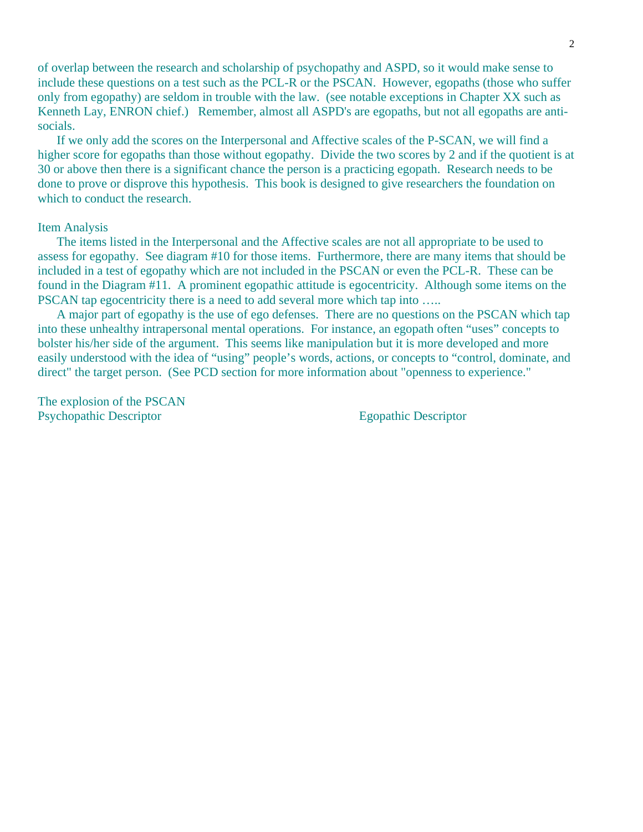of overlap between the research and scholarship of psychopathy and ASPD, so it would make sense to include these questions on a test such as the PCL-R or the PSCAN. However, egopaths (those who suffer only from egopathy) are seldom in trouble with the law. (see notable exceptions in Chapter XX such as Kenneth Lay, ENRON chief.) Remember, almost all ASPD's are egopaths, but not all egopaths are antisocials.

 If we only add the scores on the Interpersonal and Affective scales of the P-SCAN, we will find a higher score for egopaths than those without egopathy. Divide the two scores by 2 and if the quotient is at 30 or above then there is a significant chance the person is a practicing egopath. Research needs to be done to prove or disprove this hypothesis. This book is designed to give researchers the foundation on which to conduct the research.

#### Item Analysis

 The items listed in the Interpersonal and the Affective scales are not all appropriate to be used to assess for egopathy. See diagram #10 for those items. Furthermore, there are many items that should be included in a test of egopathy which are not included in the PSCAN or even the PCL-R. These can be found in the Diagram #11. A prominent egopathic attitude is egocentricity. Although some items on the PSCAN tap egocentricity there is a need to add several more which tap into .....

 A major part of egopathy is the use of ego defenses. There are no questions on the PSCAN which tap into these unhealthy intrapersonal mental operations. For instance, an egopath often "uses" concepts to bolster his/her side of the argument. This seems like manipulation but it is more developed and more easily understood with the idea of "using" people's words, actions, or concepts to "control, dominate, and direct" the target person. (See PCD section for more information about "openness to experience."

The explosion of the PSCAN Psychopathic Descriptor Egopathic Descriptor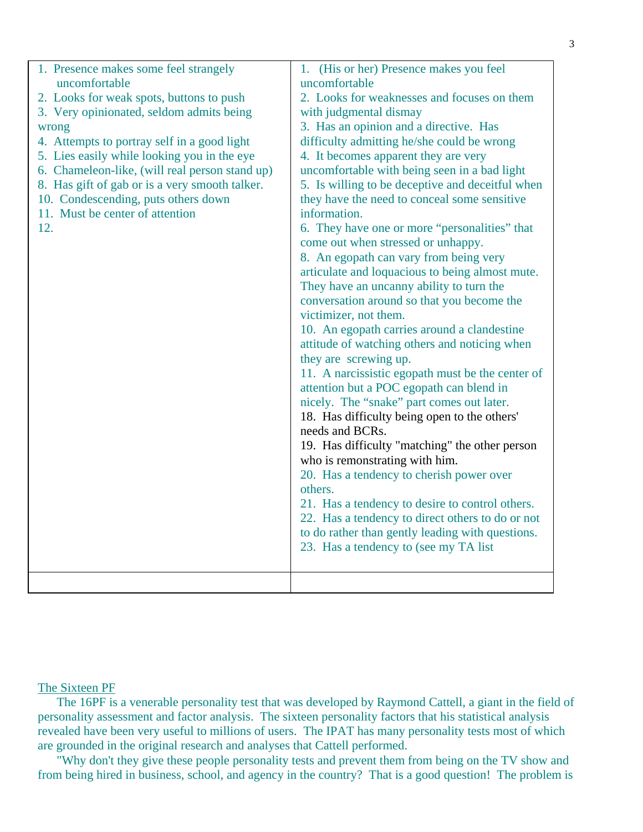| 1. Presence makes some feel strangely<br>uncomfortable | 1. (His or her) Presence makes you feel<br>uncomfortable |
|--------------------------------------------------------|----------------------------------------------------------|
| 2. Looks for weak spots, buttons to push               | 2. Looks for weaknesses and focuses on them              |
| 3. Very opinionated, seldom admits being               | with judgmental dismay                                   |
| wrong                                                  | 3. Has an opinion and a directive. Has                   |
| 4. Attempts to portray self in a good light            | difficulty admitting he/she could be wrong               |
| 5. Lies easily while looking you in the eye            | 4. It becomes apparent they are very                     |
| 6. Chameleon-like, (will real person stand up)         | uncomfortable with being seen in a bad light             |
| 8. Has gift of gab or is a very smooth talker.         | 5. Is willing to be deceptive and deceitful when         |
| 10. Condescending, puts others down                    | they have the need to conceal some sensitive             |
| 11. Must be center of attention                        | information.                                             |
| 12.                                                    | 6. They have one or more "personalities" that            |
|                                                        | come out when stressed or unhappy.                       |
|                                                        | 8. An egopath can vary from being very                   |
|                                                        | articulate and loquacious to being almost mute.          |
|                                                        | They have an uncanny ability to turn the                 |
|                                                        | conversation around so that you become the               |
|                                                        | victimizer, not them.                                    |
|                                                        | 10. An egopath carries around a clandestine              |
|                                                        | attitude of watching others and noticing when            |
|                                                        | they are screwing up.                                    |
|                                                        | 11. A narcissistic egopath must be the center of         |
|                                                        | attention but a POC egopath can blend in                 |
|                                                        | nicely. The "snake" part comes out later.                |
|                                                        | 18. Has difficulty being open to the others'             |
|                                                        | needs and BCRs.                                          |
|                                                        | 19. Has difficulty "matching" the other person           |
|                                                        | who is remonstrating with him.                           |
|                                                        | 20. Has a tendency to cherish power over                 |
|                                                        | others.                                                  |
|                                                        | 21. Has a tendency to desire to control others.          |
|                                                        | 22. Has a tendency to direct others to do or not         |
|                                                        | to do rather than gently leading with questions.         |
|                                                        | 23. Has a tendency to (see my TA list)                   |
|                                                        |                                                          |
|                                                        |                                                          |

## The Sixteen PF

 The 16PF is a venerable personality test that was developed by Raymond Cattell, a giant in the field of personality assessment and factor analysis. The sixteen personality factors that his statistical analysis revealed have been very useful to millions of users. The IPAT has many personality tests most of which are grounded in the original research and analyses that Cattell performed.

 "Why don't they give these people personality tests and prevent them from being on the TV show and from being hired in business, school, and agency in the country? That is a good question! The problem is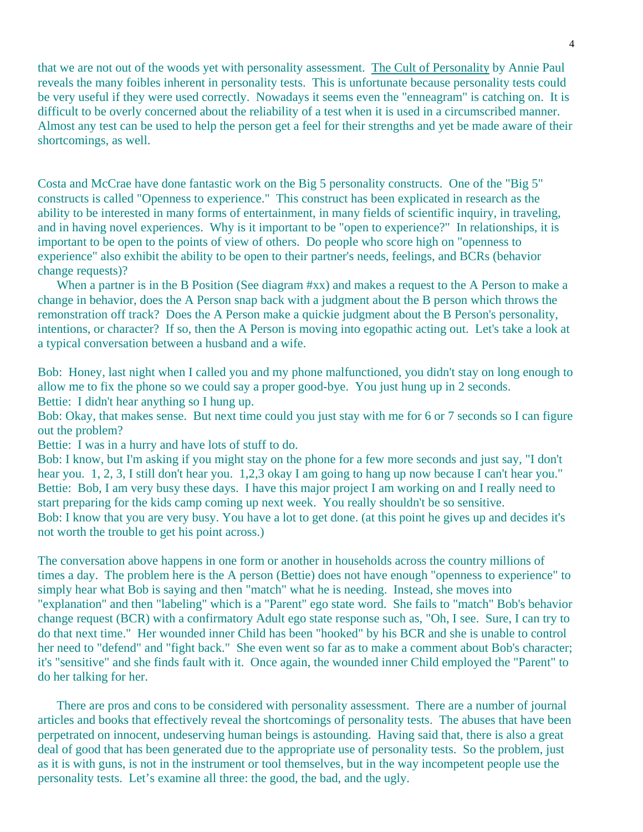that we are not out of the woods yet with personality assessment. The Cult of Personality by Annie Paul reveals the many foibles inherent in personality tests. This is unfortunate because personality tests could be very useful if they were used correctly. Nowadays it seems even the "enneagram" is catching on. It is difficult to be overly concerned about the reliability of a test when it is used in a circumscribed manner. Almost any test can be used to help the person get a feel for their strengths and yet be made aware of their shortcomings, as well.

Costa and McCrae have done fantastic work on the Big 5 personality constructs. One of the "Big 5" constructs is called "Openness to experience." This construct has been explicated in research as the ability to be interested in many forms of entertainment, in many fields of scientific inquiry, in traveling, and in having novel experiences. Why is it important to be "open to experience?" In relationships, it is important to be open to the points of view of others. Do people who score high on "openness to experience" also exhibit the ability to be open to their partner's needs, feelings, and BCRs (behavior change requests)?

When a partner is in the B Position (See diagram #xx) and makes a request to the A Person to make a change in behavior, does the A Person snap back with a judgment about the B person which throws the remonstration off track? Does the A Person make a quickie judgment about the B Person's personality, intentions, or character? If so, then the A Person is moving into egopathic acting out. Let's take a look at a typical conversation between a husband and a wife.

Bob: Honey, last night when I called you and my phone malfunctioned, you didn't stay on long enough to allow me to fix the phone so we could say a proper good-bye. You just hung up in 2 seconds. Bettie: I didn't hear anything so I hung up.

Bob: Okay, that makes sense. But next time could you just stay with me for 6 or 7 seconds so I can figure out the problem?

Bettie: I was in a hurry and have lots of stuff to do.

Bob: I know, but I'm asking if you might stay on the phone for a few more seconds and just say, "I don't hear you. 1, 2, 3, I still don't hear you. 1,2,3 okay I am going to hang up now because I can't hear you." Bettie: Bob, I am very busy these days. I have this major project I am working on and I really need to start preparing for the kids camp coming up next week. You really shouldn't be so sensitive. Bob: I know that you are very busy. You have a lot to get done. (at this point he gives up and decides it's not worth the trouble to get his point across.)

The conversation above happens in one form or another in households across the country millions of times a day. The problem here is the A person (Bettie) does not have enough "openness to experience" to simply hear what Bob is saying and then "match" what he is needing. Instead, she moves into "explanation" and then "labeling" which is a "Parent" ego state word. She fails to "match" Bob's behavior change request (BCR) with a confirmatory Adult ego state response such as, "Oh, I see. Sure, I can try to do that next time." Her wounded inner Child has been "hooked" by his BCR and she is unable to control her need to "defend" and "fight back." She even went so far as to make a comment about Bob's character; it's "sensitive" and she finds fault with it. Once again, the wounded inner Child employed the "Parent" to do her talking for her.

 There are pros and cons to be considered with personality assessment. There are a number of journal articles and books that effectively reveal the shortcomings of personality tests. The abuses that have been perpetrated on innocent, undeserving human beings is astounding. Having said that, there is also a great deal of good that has been generated due to the appropriate use of personality tests. So the problem, just as it is with guns, is not in the instrument or tool themselves, but in the way incompetent people use the personality tests. Let's examine all three: the good, the bad, and the ugly.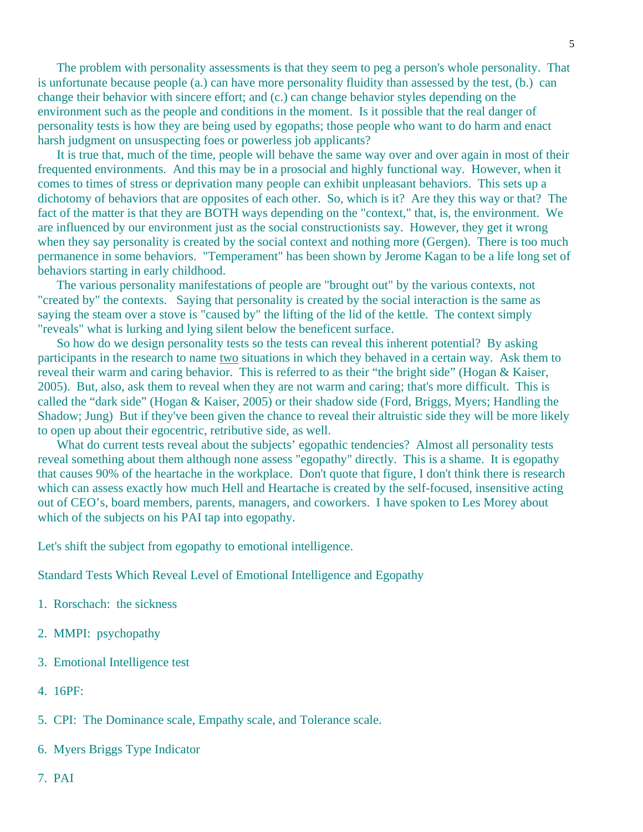The problem with personality assessments is that they seem to peg a person's whole personality. That is unfortunate because people (a.) can have more personality fluidity than assessed by the test, (b.) can change their behavior with sincere effort; and (c.) can change behavior styles depending on the environment such as the people and conditions in the moment. Is it possible that the real danger of personality tests is how they are being used by egopaths; those people who want to do harm and enact harsh judgment on unsuspecting foes or powerless job applicants?

 It is true that, much of the time, people will behave the same way over and over again in most of their frequented environments. And this may be in a prosocial and highly functional way. However, when it comes to times of stress or deprivation many people can exhibit unpleasant behaviors. This sets up a dichotomy of behaviors that are opposites of each other. So, which is it? Are they this way or that? The fact of the matter is that they are BOTH ways depending on the "context," that, is, the environment. We are influenced by our environment just as the social constructionists say. However, they get it wrong when they say personality is created by the social context and nothing more (Gergen). There is too much permanence in some behaviors. "Temperament" has been shown by Jerome Kagan to be a life long set of behaviors starting in early childhood.

 The various personality manifestations of people are "brought out" by the various contexts, not "created by" the contexts. Saying that personality is created by the social interaction is the same as saying the steam over a stove is "caused by" the lifting of the lid of the kettle. The context simply "reveals" what is lurking and lying silent below the beneficent surface.

 So how do we design personality tests so the tests can reveal this inherent potential? By asking participants in the research to name two situations in which they behaved in a certain way. Ask them to reveal their warm and caring behavior. This is referred to as their "the bright side" (Hogan & Kaiser, 2005). But, also, ask them to reveal when they are not warm and caring; that's more difficult. This is called the "dark side" (Hogan & Kaiser, 2005) or their shadow side (Ford, Briggs, Myers; Handling the Shadow; Jung) But if they've been given the chance to reveal their altruistic side they will be more likely to open up about their egocentric, retributive side, as well.

What do current tests reveal about the subjects' egopathic tendencies? Almost all personality tests reveal something about them although none assess "egopathy" directly. This is a shame. It is egopathy that causes 90% of the heartache in the workplace. Don't quote that figure, I don't think there is research which can assess exactly how much Hell and Heartache is created by the self-focused, insensitive acting out of CEO's, board members, parents, managers, and coworkers. I have spoken to Les Morey about which of the subjects on his PAI tap into egopathy.

Let's shift the subject from egopathy to emotional intelligence.

Standard Tests Which Reveal Level of Emotional Intelligence and Egopathy

- 1. Rorschach: the sickness
- 2. MMPI: psychopathy
- 3. Emotional Intelligence test
- 4. 16PF:
- 5. CPI: The Dominance scale, Empathy scale, and Tolerance scale.
- 6. Myers Briggs Type Indicator
- 7. PAI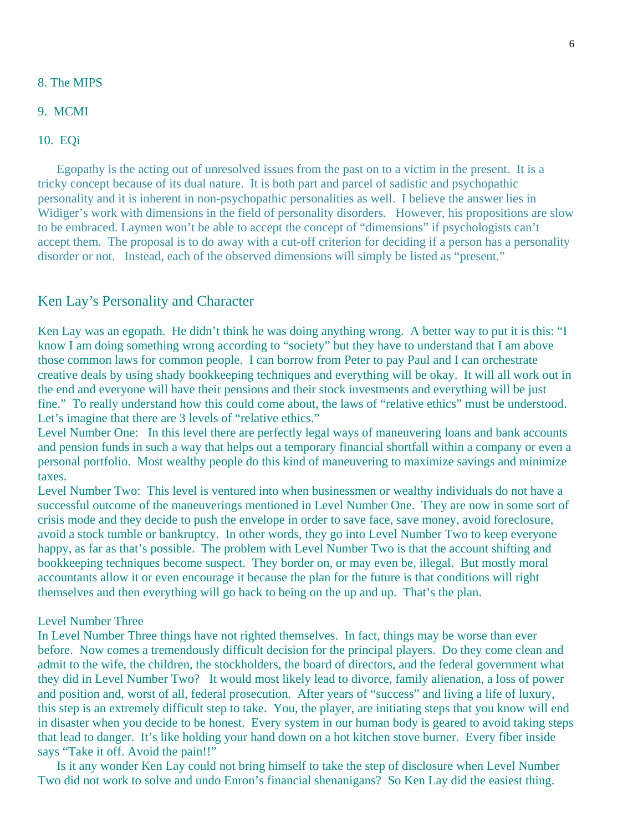## 8. The MIPS

## 9. MCMI

# 10. EQi

 Egopathy is the acting out of unresolved issues from the past on to a victim in the present. It is a tricky concept because of its dual nature. It is both part and parcel of sadistic and psychopathic personality and it is inherent in non-psychopathic personalities as well. I believe the answer lies in Widiger's work with dimensions in the field of personality disorders. However, his propositions are slow to be embraced. Laymen won't be able to accept the concept of "dimensions" if psychologists can't accept them. The proposal is to do away with a cut-off criterion for deciding if a person has a personality disorder or not. Instead, each of the observed dimensions will simply be listed as "present."

# Ken Lay's Personality and Character

Ken Lay was an egopath. He didn't think he was doing anything wrong. A better way to put it is this: "I know I am doing something wrong according to "society" but they have to understand that I am above those common laws for common people. I can borrow from Peter to pay Paul and I can orchestrate creative deals by using shady bookkeeping techniques and everything will be okay. It will all work out in the end and everyone will have their pensions and their stock investments and everything will be just fine." To really understand how this could come about, the laws of "relative ethics" must be understood. Let's imagine that there are 3 levels of "relative ethics."

Level Number One: In this level there are perfectly legal ways of maneuvering loans and bank accounts and pension funds in such a way that helps out a temporary financial shortfall within a company or even a personal portfolio. Most wealthy people do this kind of maneuvering to maximize savings and minimize taxes.

Level Number Two: This level is ventured into when businessmen or wealthy individuals do not have a successful outcome of the maneuverings mentioned in Level Number One. They are now in some sort of crisis mode and they decide to push the envelope in order to save face, save money, avoid foreclosure, avoid a stock tumble or bankruptcy. In other words, they go into Level Number Two to keep everyone happy, as far as that's possible. The problem with Level Number Two is that the account shifting and bookkeeping techniques become suspect. They border on, or may even be, illegal. But mostly moral accountants allow it or even encourage it because the plan for the future is that conditions will right themselves and then everything will go back to being on the up and up. That's the plan.

#### Level Number Three

In Level Number Three things have not righted themselves. In fact, things may be worse than ever before. Now comes a tremendously difficult decision for the principal players. Do they come clean and admit to the wife, the children, the stockholders, the board of directors, and the federal government what they did in Level Number Two? It would most likely lead to divorce, family alienation, a loss of power and position and, worst of all, federal prosecution. After years of "success" and living a life of luxury, this step is an extremely difficult step to take. You, the player, are initiating steps that you know will end in disaster when you decide to be honest. Every system in our human body is geared to avoid taking steps that lead to danger. It's like holding your hand down on a hot kitchen stove burner. Every fiber inside says "Take it off. Avoid the pain!!"

 Is it any wonder Ken Lay could not bring himself to take the step of disclosure when Level Number Two did not work to solve and undo Enron's financial shenanigans? So Ken Lay did the easiest thing.